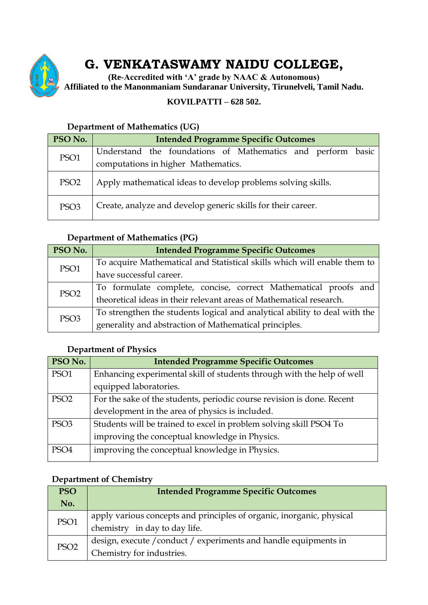

# **G. VENKATASWAMY NAIDU COLLEGE,**

**(Re-Accredited with 'A' grade by NAAC & Autonomous) Affiliated to the Manonmaniam Sundaranar University, Tirunelveli, Tamil Nadu.**

### **KOVILPATTI – 628 502.**

# **PSO No. Intended Programme Specific Outcomes** PSO1 Understand the foundations of Mathematics and perform basic computations in higher Mathematics. PSO2 Apply mathematical ideas to develop problems solving skills. PSO3 Create, analyze and develop generic skills for their career.

#### **Department of Mathematics (UG)**

#### **Department of Mathematics (PG)**

| PSO No.          | <b>Intended Programme Specific Outcomes</b>                                |
|------------------|----------------------------------------------------------------------------|
| PSO1             | To acquire Mathematical and Statistical skills which will enable them to   |
|                  | have successful career.                                                    |
| PSO <sub>2</sub> | To formulate complete, concise, correct Mathematical proofs and            |
|                  | theoretical ideas in their relevant areas of Mathematical research.        |
| PSO <sub>3</sub> | To strengthen the students logical and analytical ability to deal with the |
|                  | generality and abstraction of Mathematical principles.                     |

#### **Department of Physics**

| PSO No.          | <b>Intended Programme Specific Outcomes</b>                            |
|------------------|------------------------------------------------------------------------|
| PSO1             | Enhancing experimental skill of students through with the help of well |
|                  | equipped laboratories.                                                 |
| PSO <sub>2</sub> | For the sake of the students, periodic course revision is done. Recent |
|                  | development in the area of physics is included.                        |
| PSO <sub>3</sub> | Students will be trained to excel in problem solving skill PSO4 To     |
|                  | improving the conceptual knowledge in Physics.                         |
| PSO <sub>4</sub> | improving the conceptual knowledge in Physics.                         |

#### **Department of Chemistry**

| <b>PSO</b>       | <b>Intended Programme Specific Outcomes</b>                                                            |
|------------------|--------------------------------------------------------------------------------------------------------|
| No.              |                                                                                                        |
| PSO1             | apply various concepts and principles of organic, inorganic, physical<br>chemistry in day to day life. |
| PSO <sub>2</sub> | design, execute / conduct / experiments and handle equipments in<br>Chemistry for industries.          |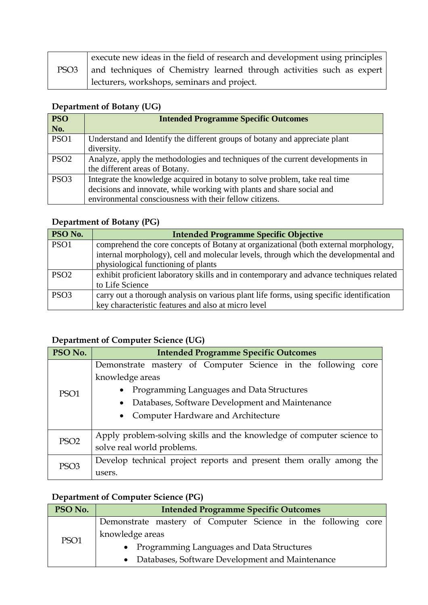|                  | execute new ideas in the field of research and development using principles |
|------------------|-----------------------------------------------------------------------------|
| PSO <sub>3</sub> | and techniques of Chemistry learned through activities such as expert       |
|                  | lecturers, workshops, seminars and project.                                 |

### **Department of Botany (UG)**

| <b>PSO</b>       | <b>Intended Programme Specific Outcomes</b>                                    |
|------------------|--------------------------------------------------------------------------------|
| <b>No.</b>       |                                                                                |
| PSO1             | Understand and Identify the different groups of botany and appreciate plant    |
|                  | diversity.                                                                     |
| PSO <sub>2</sub> | Analyze, apply the methodologies and techniques of the current developments in |
|                  | the different areas of Botany.                                                 |
| PSO <sub>3</sub> | Integrate the knowledge acquired in botany to solve problem, take real time    |
|                  | decisions and innovate, while working with plants and share social and         |
|                  | environmental consciousness with their fellow citizens.                        |

# **Department of Botany (PG)**

| PSO No.          | <b>Intended Programme Specific Objective</b>                                             |
|------------------|------------------------------------------------------------------------------------------|
| PSO1             | comprehend the core concepts of Botany at organizational (both external morphology,      |
|                  | internal morphology), cell and molecular levels, through which the developmental and     |
|                  | physiological functioning of plants                                                      |
| PSO <sub>2</sub> | exhibit proficient laboratory skills and in contemporary and advance techniques related  |
|                  | to Life Science                                                                          |
| PSO <sub>3</sub> | carry out a thorough analysis on various plant life forms, using specific identification |
|                  | key characteristic features and also at micro level                                      |

# **Department of Computer Science (UG)**

| PSO No.          | <b>Intended Programme Specific Outcomes</b>                           |
|------------------|-----------------------------------------------------------------------|
|                  | Demonstrate mastery of Computer Science in the following core         |
|                  | knowledge areas                                                       |
| PSO <sub>1</sub> | Programming Languages and Data Structures                             |
|                  | Databases, Software Development and Maintenance                       |
|                  | Computer Hardware and Architecture<br>$\bullet$                       |
|                  |                                                                       |
| PSO <sub>2</sub> | Apply problem-solving skills and the knowledge of computer science to |
|                  | solve real world problems.                                            |
| PSO <sub>3</sub> | Develop technical project reports and present them orally among the   |
|                  | users.                                                                |

# **Department of Computer Science (PG)**

| PSO No. | <b>Intended Programme Specific Outcomes</b>                   |
|---------|---------------------------------------------------------------|
| PSO1    | Demonstrate mastery of Computer Science in the following core |
|         | knowledge areas                                               |
|         | • Programming Languages and Data Structures                   |
|         | • Databases, Software Development and Maintenance             |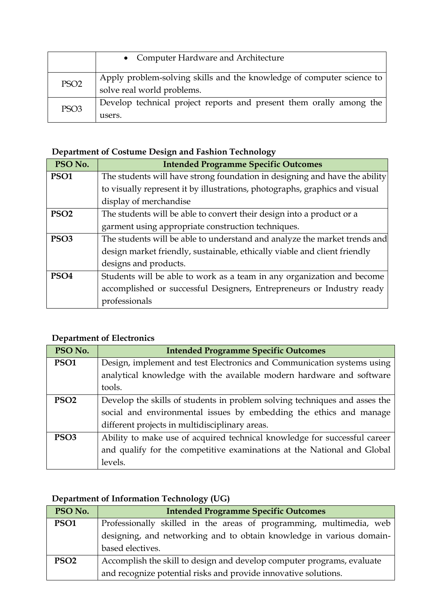|                  | • Computer Hardware and Architecture                                                                |
|------------------|-----------------------------------------------------------------------------------------------------|
| PSO <sub>2</sub> | Apply problem-solving skills and the knowledge of computer science to<br>solve real world problems. |
| PSO <sub>3</sub> | Develop technical project reports and present them orally among the<br>users.                       |

# **Department of Costume Design and Fashion Technology**

| PSO No.          | <b>Intended Programme Specific Outcomes</b>                                 |
|------------------|-----------------------------------------------------------------------------|
| PSO <sub>1</sub> | The students will have strong foundation in designing and have the ability  |
|                  | to visually represent it by illustrations, photographs, graphics and visual |
|                  | display of merchandise                                                      |
| PSO <sub>2</sub> | The students will be able to convert their design into a product or a       |
|                  | garment using appropriate construction techniques.                          |
| PSO <sub>3</sub> | The students will be able to understand and analyze the market trends and   |
|                  | design market friendly, sustainable, ethically viable and client friendly   |
|                  | designs and products.                                                       |
| PSO <sub>4</sub> | Students will be able to work as a team in any organization and become      |
|                  | accomplished or successful Designers, Entrepreneurs or Industry ready       |
|                  | professionals                                                               |

# **Department of Electronics**

| PSO No.          | <b>Intended Programme Specific Outcomes</b>                                |
|------------------|----------------------------------------------------------------------------|
| PSO <sub>1</sub> | Design, implement and test Electronics and Communication systems using     |
|                  | analytical knowledge with the available modern hardware and software       |
|                  | tools.                                                                     |
| PSO <sub>2</sub> | Develop the skills of students in problem solving techniques and asses the |
|                  | social and environmental issues by embedding the ethics and manage         |
|                  | different projects in multidisciplinary areas.                             |
| PSO <sub>3</sub> | Ability to make use of acquired technical knowledge for successful career  |
|                  | and qualify for the competitive examinations at the National and Global    |
|                  | levels.                                                                    |

# **Department of Information Technology (UG)**

| PSO No.          | <b>Intended Programme Specific Outcomes</b>                            |
|------------------|------------------------------------------------------------------------|
| PSO1             | Professionally skilled in the areas of programming, multimedia, web    |
|                  | designing, and networking and to obtain knowledge in various domain-   |
|                  | based electives.                                                       |
| PSO <sub>2</sub> | Accomplish the skill to design and develop computer programs, evaluate |
|                  | and recognize potential risks and provide innovative solutions.        |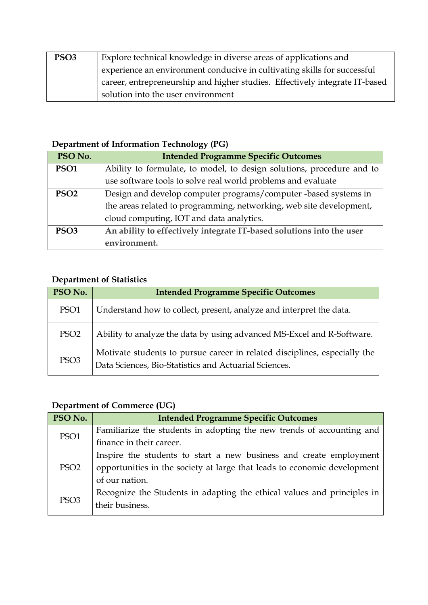| PSO <sub>3</sub> | Explore technical knowledge in diverse areas of applications and            |
|------------------|-----------------------------------------------------------------------------|
|                  | experience an environment conducive in cultivating skills for successful    |
|                  | career, entrepreneurship and higher studies. Effectively integrate IT-based |
|                  | solution into the user environment                                          |

# **Department of Information Technology (PG)**

| PSO No.          | <b>Intended Programme Specific Outcomes</b>                           |
|------------------|-----------------------------------------------------------------------|
| PSO <sub>1</sub> | Ability to formulate, to model, to design solutions, procedure and to |
|                  | use software tools to solve real world problems and evaluate          |
| PSO <sub>2</sub> | Design and develop computer programs/computer -based systems in       |
|                  | the areas related to programming, networking, web site development,   |
|                  | cloud computing, IOT and data analytics.                              |
| PSO <sub>3</sub> | An ability to effectively integrate IT-based solutions into the user  |
|                  | environment.                                                          |

# **Department of Statistics**

| PSO No.          | <b>Intended Programme Specific Outcomes</b>                                                                                        |
|------------------|------------------------------------------------------------------------------------------------------------------------------------|
| PSO <sub>1</sub> | Understand how to collect, present, analyze and interpret the data.                                                                |
| PSO <sub>2</sub> | Ability to analyze the data by using advanced MS-Excel and R-Software.                                                             |
| PSO <sub>3</sub> | Motivate students to pursue career in related disciplines, especially the<br>Data Sciences, Bio-Statistics and Actuarial Sciences. |

# **Department of Commerce (UG)**

| PSO No.          | <b>Intended Programme Specific Outcomes</b>                              |
|------------------|--------------------------------------------------------------------------|
| PSO1             | Familiarize the students in adopting the new trends of accounting and    |
|                  | finance in their career.                                                 |
| PSO <sub>2</sub> | Inspire the students to start a new business and create employment       |
|                  | opportunities in the society at large that leads to economic development |
|                  | of our nation.                                                           |
| PSO <sub>3</sub> | Recognize the Students in adapting the ethical values and principles in  |
|                  | their business.                                                          |
|                  |                                                                          |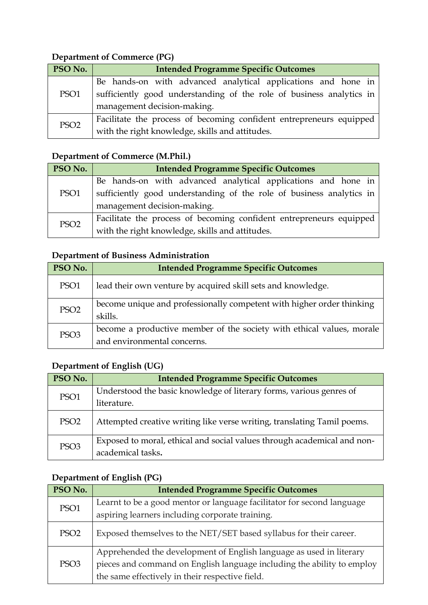# **Department of Commerce (PG)**

| PSO No.          | <b>Intended Programme Specific Outcomes</b>                                                         |
|------------------|-----------------------------------------------------------------------------------------------------|
| PSO <sub>1</sub> | Be hands-on with advanced analytical applications and hone in                                       |
|                  | sufficiently good understanding of the role of business analytics in<br>management decision-making. |
| PSO <sub>2</sub> | Facilitate the process of becoming confident entrepreneurs equipped                                 |
|                  | with the right knowledge, skills and attitudes.                                                     |

# **Department of Commerce (M.Phil.)**

| PSO No.          | <b>Intended Programme Specific Outcomes</b>                          |
|------------------|----------------------------------------------------------------------|
| PSO1             | Be hands-on with advanced analytical applications and hone in        |
|                  | sufficiently good understanding of the role of business analytics in |
|                  | management decision-making.                                          |
| PSO <sub>2</sub> | Facilitate the process of becoming confident entrepreneurs equipped  |
|                  | with the right knowledge, skills and attitudes.                      |

### **Department of Business Administration**

| PSO No.          | <b>Intended Programme Specific Outcomes</b>                                                          |
|------------------|------------------------------------------------------------------------------------------------------|
| PSO <sub>1</sub> | lead their own venture by acquired skill sets and knowledge.                                         |
| PSO <sub>2</sub> | become unique and professionally competent with higher order thinking<br>skills.                     |
| PSO <sub>3</sub> | become a productive member of the society with ethical values, morale<br>and environmental concerns. |

### **Department of English (UG)**

| PSO No.          | <b>Intended Programme Specific Outcomes</b>                             |
|------------------|-------------------------------------------------------------------------|
| PSO1             | Understood the basic knowledge of literary forms, various genres of     |
|                  | literature.                                                             |
| PSO <sub>2</sub> | Attempted creative writing like verse writing, translating Tamil poems. |
| PSO <sub>3</sub> | Exposed to moral, ethical and social values through academical and non- |
|                  | academical tasks.                                                       |

# **Department of English (PG)**

| PSO No.          | <b>Intended Programme Specific Outcomes</b>                            |
|------------------|------------------------------------------------------------------------|
| PSO1             | Learnt to be a good mentor or language facilitator for second language |
|                  | aspiring learners including corporate training.                        |
| PSO <sub>2</sub> | Exposed themselves to the NET/SET based syllabus for their career.     |
| PSO <sub>3</sub> | Apprehended the development of English language as used in literary    |
|                  | pieces and command on English language including the ability to employ |
|                  | the same effectively in their respective field.                        |